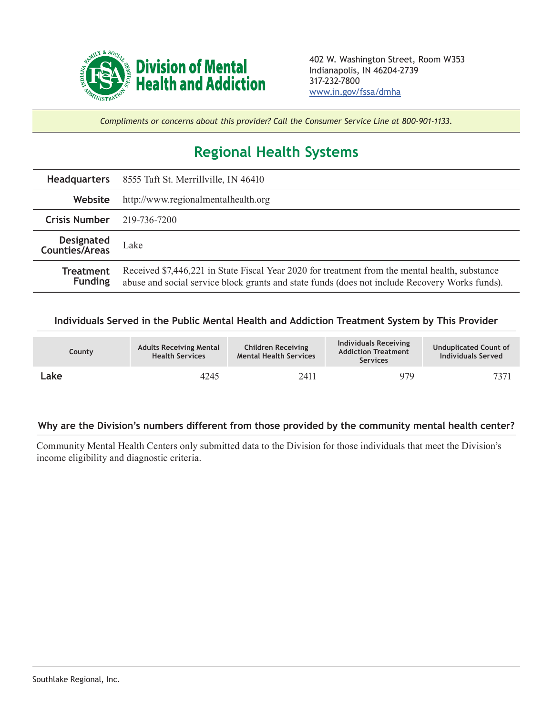

*Compliments or concerns about this provider? Call the Consumer Service Line at 800-901-1133.*

## **Regional Health Systems**

|                                     | <b>Headquarters</b> 8555 Taft St. Merrillville, IN 46410                                       |
|-------------------------------------|------------------------------------------------------------------------------------------------|
| <b>Website</b>                      | http://www.regionalmentalhealth.org                                                            |
| <b>Crisis Number</b> 219-736-7200   |                                                                                                |
| <b>Designated</b><br>Counties/Areas | Lake                                                                                           |
| Treatment<br><b>Funding</b>         | Received \$7,446,221 in State Fiscal Year 2020 for treatment from the mental health, substance |

## **Individuals Served in the Public Mental Health and Addiction Treatment System by This Provider**

| County | <b>Adults Receiving Mental</b><br><b>Health Services</b> | <b>Children Receiving</b><br><b>Mental Health Services</b> | Individuals Receiving<br><b>Addiction Treatment</b><br><b>Services</b> | <b>Unduplicated Count of</b><br><b>Individuals Served</b> |
|--------|----------------------------------------------------------|------------------------------------------------------------|------------------------------------------------------------------------|-----------------------------------------------------------|
| Lake   | 4245                                                     | 2411                                                       | 979                                                                    | 7371                                                      |

## **Why are the Division's numbers different from those provided by the community mental health center?**

Community Mental Health Centers only submitted data to the Division for those individuals that meet the Division's income eligibility and diagnostic criteria.